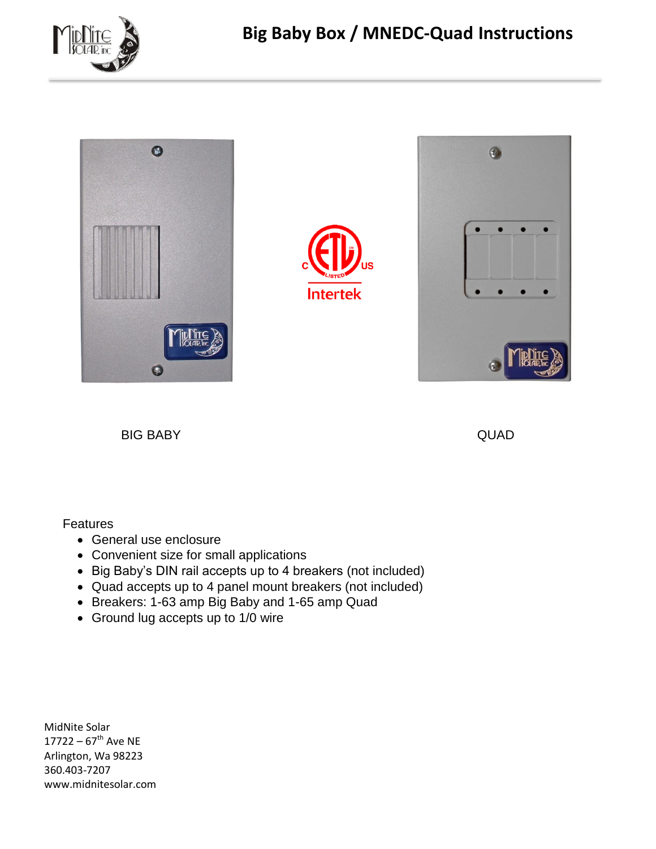



BIG BABY QUAD

### **Features**

- General use enclosure
- Convenient size for small applications
- Big Baby's DIN rail accepts up to 4 breakers (not included)
- Quad accepts up to 4 panel mount breakers (not included)
- Breakers: 1-63 amp Big Baby and 1-65 amp Quad
- Ground lug accepts up to 1/0 wire

MidNite Solar 17722 –  $67^{\text{th}}$  Ave NE Arlington, Wa 98223 360.403-7207 www.midnitesolar.com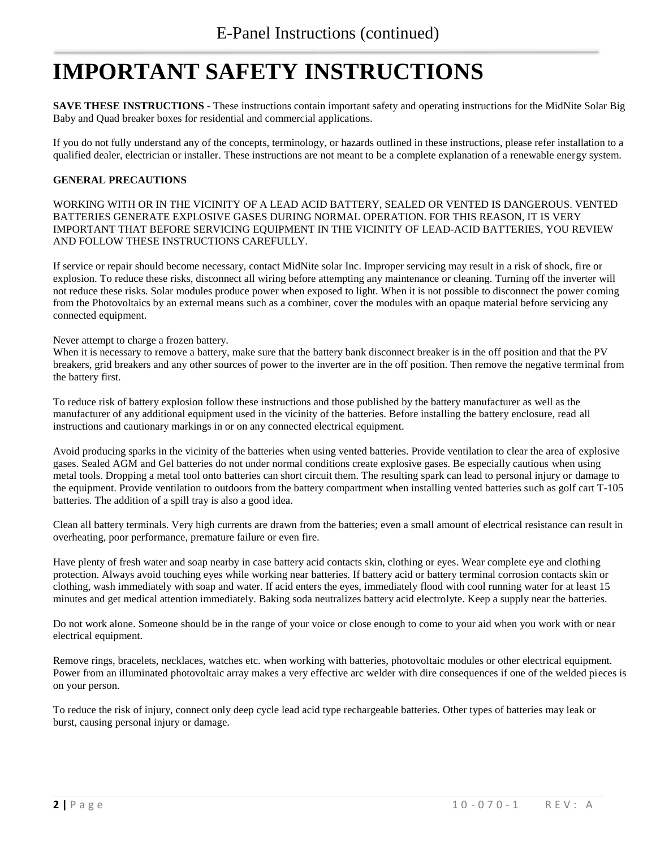# **IMPORTANT SAFETY INSTRUCTIONS**

**SAVE THESE INSTRUCTIONS** - These instructions contain important safety and operating instructions for the MidNite Solar Big Baby and Quad breaker boxes for residential and commercial applications.

If you do not fully understand any of the concepts, terminology, or hazards outlined in these instructions, please refer installation to a qualified dealer, electrician or installer. These instructions are not meant to be a complete explanation of a renewable energy system.

#### **GENERAL PRECAUTIONS**

WORKING WITH OR IN THE VICINITY OF A LEAD ACID BATTERY, SEALED OR VENTED IS DANGEROUS. VENTED BATTERIES GENERATE EXPLOSIVE GASES DURING NORMAL OPERATION. FOR THIS REASON, IT IS VERY IMPORTANT THAT BEFORE SERVICING EQUIPMENT IN THE VICINITY OF LEAD-ACID BATTERIES, YOU REVIEW AND FOLLOW THESE INSTRUCTIONS CAREFULLY.

If service or repair should become necessary, contact MidNite solar Inc. Improper servicing may result in a risk of shock, fire or explosion. To reduce these risks, disconnect all wiring before attempting any maintenance or cleaning. Turning off the inverter will not reduce these risks. Solar modules produce power when exposed to light. When it is not possible to disconnect the power coming from the Photovoltaics by an external means such as a combiner, cover the modules with an opaque material before servicing any connected equipment.

Never attempt to charge a frozen battery.

When it is necessary to remove a battery, make sure that the battery bank disconnect breaker is in the off position and that the PV breakers, grid breakers and any other sources of power to the inverter are in the off position. Then remove the negative terminal from the battery first.

To reduce risk of battery explosion follow these instructions and those published by the battery manufacturer as well as the manufacturer of any additional equipment used in the vicinity of the batteries. Before installing the battery enclosure, read all instructions and cautionary markings in or on any connected electrical equipment.

Avoid producing sparks in the vicinity of the batteries when using vented batteries. Provide ventilation to clear the area of explosive gases. Sealed AGM and Gel batteries do not under normal conditions create explosive gases. Be especially cautious when using metal tools. Dropping a metal tool onto batteries can short circuit them. The resulting spark can lead to personal injury or damage to the equipment. Provide ventilation to outdoors from the battery compartment when installing vented batteries such as golf cart T-105 batteries. The addition of a spill tray is also a good idea.

Clean all battery terminals. Very high currents are drawn from the batteries; even a small amount of electrical resistance can result in overheating, poor performance, premature failure or even fire.

Have plenty of fresh water and soap nearby in case battery acid contacts skin, clothing or eyes. Wear complete eye and clothing protection. Always avoid touching eyes while working near batteries. If battery acid or battery terminal corrosion contacts skin or clothing, wash immediately with soap and water. If acid enters the eyes, immediately flood with cool running water for at least 15 minutes and get medical attention immediately. Baking soda neutralizes battery acid electrolyte. Keep a supply near the batteries.

Do not work alone. Someone should be in the range of your voice or close enough to come to your aid when you work with or near electrical equipment.

Remove rings, bracelets, necklaces, watches etc. when working with batteries, photovoltaic modules or other electrical equipment. Power from an illuminated photovoltaic array makes a very effective arc welder with dire consequences if one of the welded pieces is on your person.

To reduce the risk of injury, connect only deep cycle lead acid type rechargeable batteries. Other types of batteries may leak or burst, causing personal injury or damage.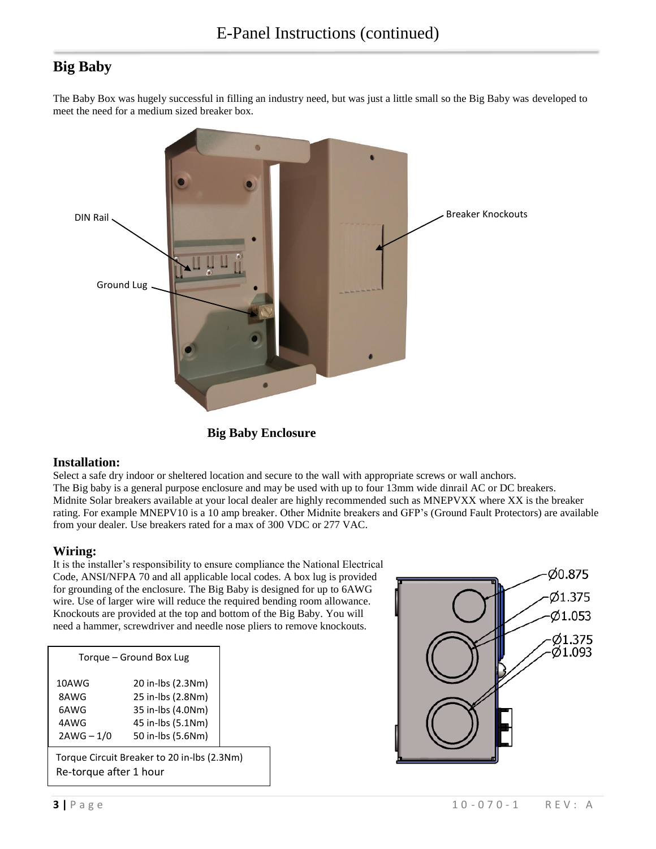## **Big Baby**

The Baby Box was hugely successful in filling an industry need, but was just a little small so the Big Baby was developed to meet the need for a medium sized breaker box.



**Big Baby Enclosure**

#### **Installation:**

Select a safe dry indoor or sheltered location and secure to the wall with appropriate screws or wall anchors. The Big baby is a general purpose enclosure and may be used with up to four 13mm wide dinrail AC or DC breakers. Midnite Solar breakers available at your local dealer are highly recommended such as MNEPVXX where XX is the breaker rating. For example MNEPV10 is a 10 amp breaker. Other Midnite breakers and GFP's (Ground Fault Protectors) are available from your dealer. Use breakers rated for a max of 300 VDC or 277 VAC.

#### **Wiring:**

It is the installer's responsibility to ensure compliance the National Electrical Code, ANSI/NFPA 70 and all applicable local codes. A box lug is provided for grounding of the enclosure. The Big Baby is designed for up to 6AWG wire. Use of larger wire will reduce the required bending room allowance. Knockouts are provided at the top and bottom of the Big Baby. You will need a hammer, screwdriver and needle nose pliers to remove knockouts.

| Torque – Ground Box Lug                     |                   |  |
|---------------------------------------------|-------------------|--|
| 10AWG                                       | 20 in-lbs (2.3Nm) |  |
| 8AWG                                        | 25 in-lbs (2.8Nm) |  |
| 6AWG                                        | 35 in-lbs (4.0Nm) |  |
| 4AWG                                        | 45 in-lbs (5.1Nm) |  |
| $2AWG - 1/0$                                | 50 in-lbs (5.6Nm) |  |
| Torque Circuit Breaker to 20 in-lbs (2.3Nm) |                   |  |

Re-torque after 1 hour